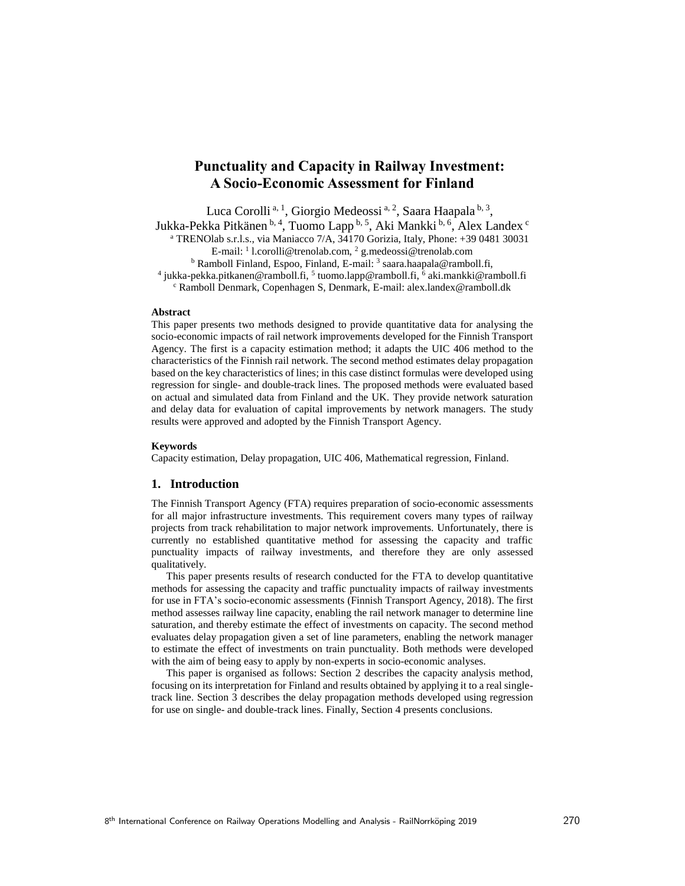# **Punctuality and Capacity in Railway Investment: A Socio-Economic Assessment for Finland**

Luca Corolli<sup>a, 1</sup>, Giorgio Medeossi<sup>a, 2</sup>, Saara Haapala<sup>b, 3</sup>, Jukka-Pekka Pitkänen b, 4, Tuomo Lapp b, 5, Aki Mankki b, 6, Alex Landex c <sup>a</sup> TRENOlab s.r.l.s., via Maniacco 7/A,  $34170$  Gorizia, Italy, Phone:  $+39048130031$ E-mail: <sup>1</sup> l.corolli@trenolab.com, <sup>2</sup> g.medeossi@trenolab.com <sup>b</sup> Ramboll Finland, Espoo, Finland, E-mail: <sup>3</sup> saara.haapala@ramboll.fi, <sup>4</sup> jukka-pekka.pitkanen@ramboll.fi, <sup>5</sup> tuomo.lapp@ramboll.fi, <sup>6</sup> aki.mankki@ramboll.fi <sup>c</sup> Ramboll Denmark, Copenhagen S, Denmark, E-mail: alex.landex@ramboll.dk

## **Abstract**

This paper presents two methods designed to provide quantitative data for analysing the socio-economic impacts of rail network improvements developed for the Finnish Transport Agency. The first is a capacity estimation method; it adapts the UIC 406 method to the characteristics of the Finnish rail network. The second method estimates delay propagation based on the key characteristics of lines; in this case distinct formulas were developed using regression for single- and double-track lines. The proposed methods were evaluated based on actual and simulated data from Finland and the UK. They provide network saturation and delay data for evaluation of capital improvements by network managers. The study results were approved and adopted by the Finnish Transport Agency.

#### **Keywords**

Capacity estimation, Delay propagation, UIC 406, Mathematical regression, Finland.

# **1. Introduction**

The Finnish Transport Agency (FTA) requires preparation of socio-economic assessments for all major infrastructure investments. This requirement covers many types of railway projects from track rehabilitation to major network improvements. Unfortunately, there is currently no established quantitative method for assessing the capacity and traffic punctuality impacts of railway investments, and therefore they are only assessed qualitatively.

This paper presents results of research conducted for the FTA to develop quantitative methods for assessing the capacity and traffic punctuality impacts of railway investments for use in FTA's socio-economic assessments (Finnish Transport Agency, 2018). The first method assesses railway line capacity, enabling the rail network manager to determine line saturation, and thereby estimate the effect of investments on capacity. The second method evaluates delay propagation given a set of line parameters, enabling the network manager to estimate the effect of investments on train punctuality. Both methods were developed with the aim of being easy to apply by non-experts in socio-economic analyses.

This paper is organised as follows: Section 2 describes the capacity analysis method, focusing on its interpretation for Finland and results obtained by applying it to a real singletrack line. Section 3 describes the delay propagation methods developed using regression for use on single- and double-track lines. Finally, Section 4 presents conclusions.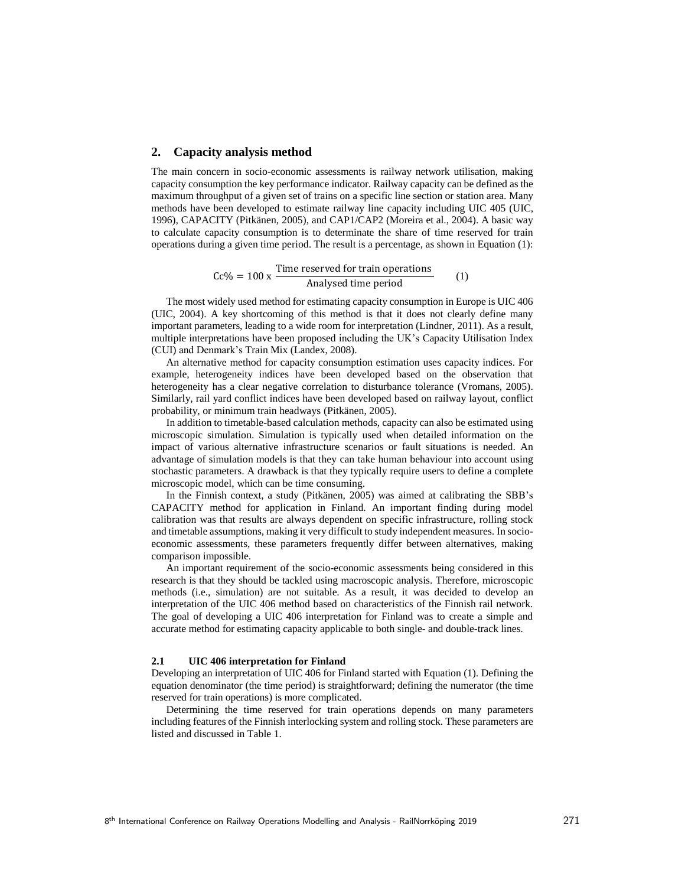# **2. Capacity analysis method**

The main concern in socio-economic assessments is railway network utilisation, making capacity consumption the key performance indicator. Railway capacity can be defined as the maximum throughput of a given set of trains on a specific line section or station area. Many methods have been developed to estimate railway line capacity including UIC 405 (UIC, 1996), CAPACITY (Pitkänen, 2005), and CAP1/CAP2 (Moreira et al., 2004). A basic way to calculate capacity consumption is to determinate the share of time reserved for train operations during a given time period. The result is a percentage, as shown in Equation (1):

$$
Cc\% = 100 \times \frac{\text{Time reserved for train operations}}{\text{Analysed time period}} \tag{1}
$$

The most widely used method for estimating capacity consumption in Europe is UIC 406 (UIC, 2004). A key shortcoming of this method is that it does not clearly define many important parameters, leading to a wide room for interpretation (Lindner, 2011). As a result, multiple interpretations have been proposed including the UK's Capacity Utilisation Index (CUI) and Denmark's Train Mix (Landex, 2008).

An alternative method for capacity consumption estimation uses capacity indices. For example, heterogeneity indices have been developed based on the observation that heterogeneity has a clear negative correlation to disturbance tolerance (Vromans, 2005). Similarly, rail yard conflict indices have been developed based on railway layout, conflict probability, or minimum train headways (Pitkänen, 2005).

In addition to timetable-based calculation methods, capacity can also be estimated using microscopic simulation. Simulation is typically used when detailed information on the impact of various alternative infrastructure scenarios or fault situations is needed. An advantage of simulation models is that they can take human behaviour into account using stochastic parameters. A drawback is that they typically require users to define a complete microscopic model, which can be time consuming.

In the Finnish context, a study (Pitkänen, 2005) was aimed at calibrating the SBB's CAPACITY method for application in Finland. An important finding during model calibration was that results are always dependent on specific infrastructure, rolling stock and timetable assumptions, making it very difficult to study independent measures. In socioeconomic assessments, these parameters frequently differ between alternatives, making comparison impossible.

An important requirement of the socio-economic assessments being considered in this research is that they should be tackled using macroscopic analysis. Therefore, microscopic methods (i.e., simulation) are not suitable. As a result, it was decided to develop an interpretation of the UIC 406 method based on characteristics of the Finnish rail network. The goal of developing a UIC 406 interpretation for Finland was to create a simple and accurate method for estimating capacity applicable to both single- and double-track lines.

#### **2.1 UIC 406 interpretation for Finland**

Developing an interpretation of UIC 406 for Finland started with Equation (1). Defining the equation denominator (the time period) is straightforward; defining the numerator (the time reserved for train operations) is more complicated.

Determining the time reserved for train operations depends on many parameters including features of the Finnish interlocking system and rolling stock. These parameters are listed and discussed in Table 1.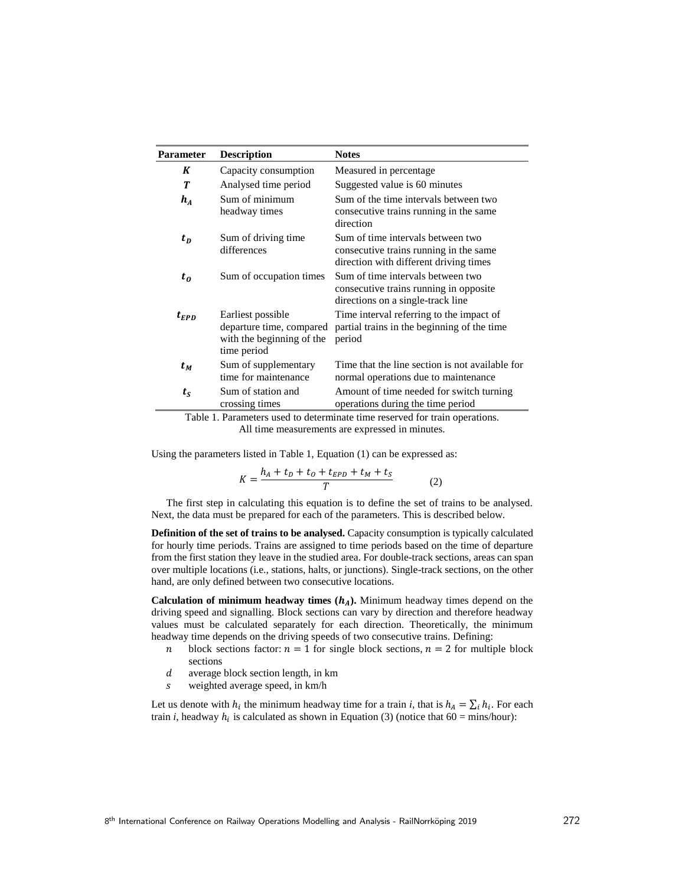| Parameter                                                                   | <b>Description</b>                                                                        | <b>Notes</b>                                                                                                          |  |  |  |  |
|-----------------------------------------------------------------------------|-------------------------------------------------------------------------------------------|-----------------------------------------------------------------------------------------------------------------------|--|--|--|--|
| K                                                                           | Capacity consumption                                                                      | Measured in percentage                                                                                                |  |  |  |  |
| T                                                                           | Analysed time period                                                                      | Suggested value is 60 minutes                                                                                         |  |  |  |  |
| $h_A$                                                                       | Sum of minimum<br>headway times                                                           | Sum of the time intervals between two<br>consecutive trains running in the same<br>direction                          |  |  |  |  |
| $t_D$                                                                       | Sum of driving time<br>differences                                                        | Sum of time intervals between two<br>consecutive trains running in the same<br>direction with different driving times |  |  |  |  |
| $t_0$                                                                       | Sum of occupation times                                                                   | Sum of time intervals between two<br>consecutive trains running in opposite.<br>directions on a single-track line     |  |  |  |  |
| $t_{EPD}$                                                                   | Earliest possible<br>departure time, compared<br>with the beginning of the<br>time period | Time interval referring to the impact of<br>partial trains in the beginning of the time<br>period                     |  |  |  |  |
| $t_M$                                                                       | Sum of supplementary<br>time for maintenance                                              | Time that the line section is not available for<br>normal operations due to maintenance                               |  |  |  |  |
| $t_{S}$                                                                     | Sum of station and<br>crossing times                                                      | Amount of time needed for switch turning<br>operations during the time period                                         |  |  |  |  |
| Table 1. Parameters used to determinate time reserved for train operations. |                                                                                           |                                                                                                                       |  |  |  |  |

All time measurements are expressed in minutes.

Using the parameters listed in Table 1, Equation (1) can be expressed as:

$$
K = \frac{h_A + t_D + t_O + t_{EPD} + t_M + t_S}{T}
$$
 (2)

The first step in calculating this equation is to define the set of trains to be analysed. Next, the data must be prepared for each of the parameters. This is described below.

**Definition of the set of trains to be analysed.** Capacity consumption is typically calculated for hourly time periods. Trains are assigned to time periods based on the time of departure from the first station they leave in the studied area. For double-track sections, areas can span over multiple locations (i.e., stations, halts, or junctions). Single-track sections, on the other hand, are only defined between two consecutive locations.

**Calculation of minimum headway times**  $(h_A)$ **.** Minimum headway times depend on the driving speed and signalling. Block sections can vary by direction and therefore headway values must be calculated separately for each direction. Theoretically, the minimum headway time depends on the driving speeds of two consecutive trains. Defining:

- *n* block sections factor:  $n = 1$  for single block sections,  $n = 2$  for multiple block sections
- $d$  average block section length, in km
- weighted average speed, in km/h

Let us denote with  $h_i$  the minimum headway time for a train *i*, that is  $h_A = \sum_i h_i$ . For each train *i*, headway  $h_i$  is calculated as shown in Equation (3) (notice that  $60 = \text{mins/hour}$ ):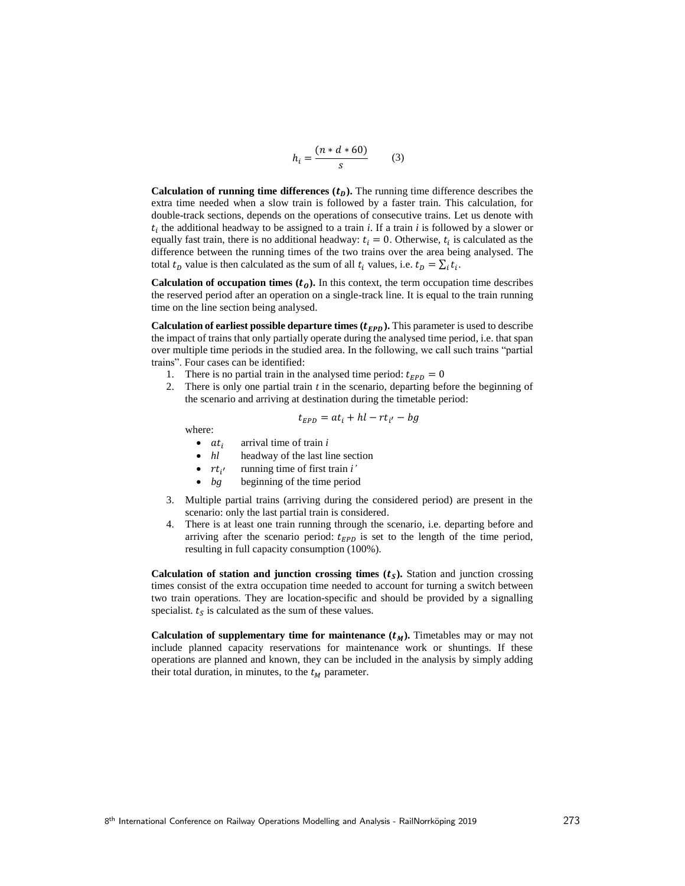$$
h_i = \frac{(n*d * 60)}{s} \qquad (3)
$$

**Calculation of running time differences**  $(t<sub>p</sub>)$ **.** The running time difference describes the extra time needed when a slow train is followed by a faster train. This calculation, for double-track sections, depends on the operations of consecutive trains. Let us denote with  $t_i$  the additional headway to be assigned to a train *i*. If a train *i* is followed by a slower or equally fast train, there is no additional headway:  $t_i = 0$ . Otherwise,  $t_i$  is calculated as the difference between the running times of the two trains over the area being analysed. The total  $t_D$  value is then calculated as the sum of all  $t_i$  values, i.e.  $t_D = \sum_i t_i$ .

**Calculation of occupation times**  $(t_0)$ **.** In this context, the term occupation time describes the reserved period after an operation on a single-track line. It is equal to the train running time on the line section being analysed.

**Calculation of earliest possible departure times**  $(t_{EPD})$ **. This parameter is used to describe** the impact of trains that only partially operate during the analysed time period, i.e. that span over multiple time periods in the studied area. In the following, we call such trains "partial trains". Four cases can be identified:

- 1. There is no partial train in the analysed time period:  $t_{EPD} = 0$
- 2. There is only one partial train *t* in the scenario, departing before the beginning of the scenario and arriving at destination during the timetable period:

$$
t_{EPD} = at_i + hl - rt_{i'} - bg
$$

where:

- $at_i$  arrival time of train *i*<br>•  $hl$  headway of the last li
- headway of the last line section
- $\bullet$   $rt_{i'}$ ′ running time of first train *i'*
- *bg* beginning of the time period
- 3. Multiple partial trains (arriving during the considered period) are present in the scenario: only the last partial train is considered.
- 4. There is at least one train running through the scenario, i.e. departing before and arriving after the scenario period:  $t_{FPD}$  is set to the length of the time period, resulting in full capacity consumption (100%).

**Calculation of station and junction crossing times**  $(t<sub>S</sub>)$ **.** Station and junction crossing times consist of the extra occupation time needed to account for turning a switch between two train operations. They are location-specific and should be provided by a signalling specialist.  $t_s$  is calculated as the sum of these values.

**Calculation of supplementary time for maintenance**  $(t_M)$ **. Timetables may or may not** include planned capacity reservations for maintenance work or shuntings. If these operations are planned and known, they can be included in the analysis by simply adding their total duration, in minutes, to the  $t_M$  parameter.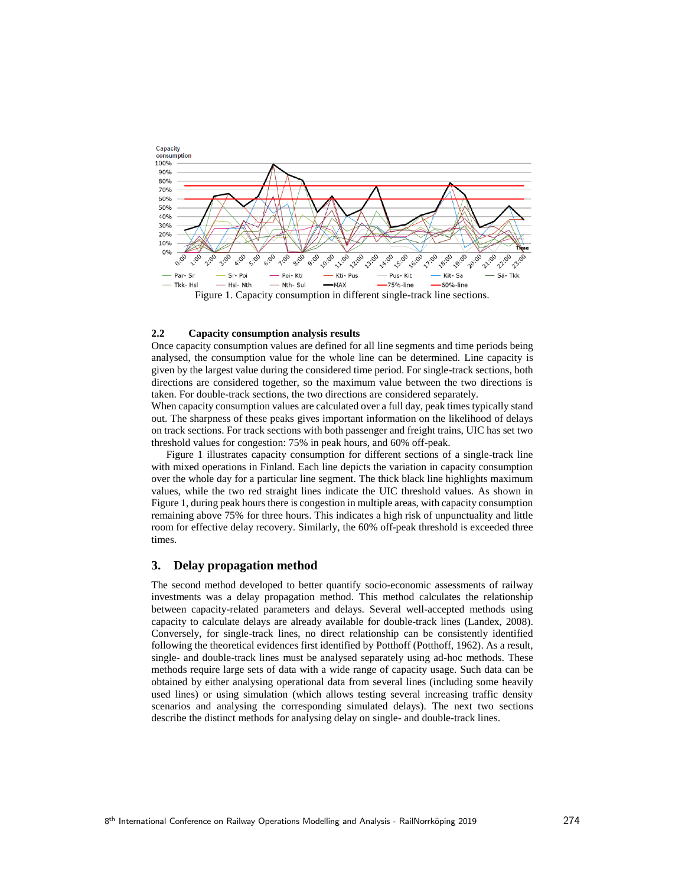

## **2.2 Capacity consumption analysis results**

Once capacity consumption values are defined for all line segments and time periods being analysed, the consumption value for the whole line can be determined. Line capacity is given by the largest value during the considered time period. For single-track sections, both directions are considered together, so the maximum value between the two directions is taken. For double-track sections, the two directions are considered separately.

When capacity consumption values are calculated over a full day, peak times typically stand out. The sharpness of these peaks gives important information on the likelihood of delays on track sections. For track sections with both passenger and freight trains, UIC has set two threshold values for congestion: 75% in peak hours, and 60% off-peak.

Figure 1 illustrates capacity consumption for different sections of a single-track line with mixed operations in Finland. Each line depicts the variation in capacity consumption over the whole day for a particular line segment. The thick black line highlights maximum values, while the two red straight lines indicate the UIC threshold values. As shown in Figure 1, during peak hours there is congestion in multiple areas, with capacity consumption remaining above 75% for three hours. This indicates a high risk of unpunctuality and little room for effective delay recovery. Similarly, the 60% off-peak threshold is exceeded three times.

# **3. Delay propagation method**

The second method developed to better quantify socio-economic assessments of railway investments was a delay propagation method. This method calculates the relationship between capacity-related parameters and delays. Several well-accepted methods using capacity to calculate delays are already available for double-track lines (Landex, 2008). Conversely, for single-track lines, no direct relationship can be consistently identified following the theoretical evidences first identified by Potthoff (Potthoff, 1962). As a result, single- and double-track lines must be analysed separately using ad-hoc methods. These methods require large sets of data with a wide range of capacity usage. Such data can be obtained by either analysing operational data from several lines (including some heavily used lines) or using simulation (which allows testing several increasing traffic density scenarios and analysing the corresponding simulated delays). The next two sections describe the distinct methods for analysing delay on single- and double-track lines.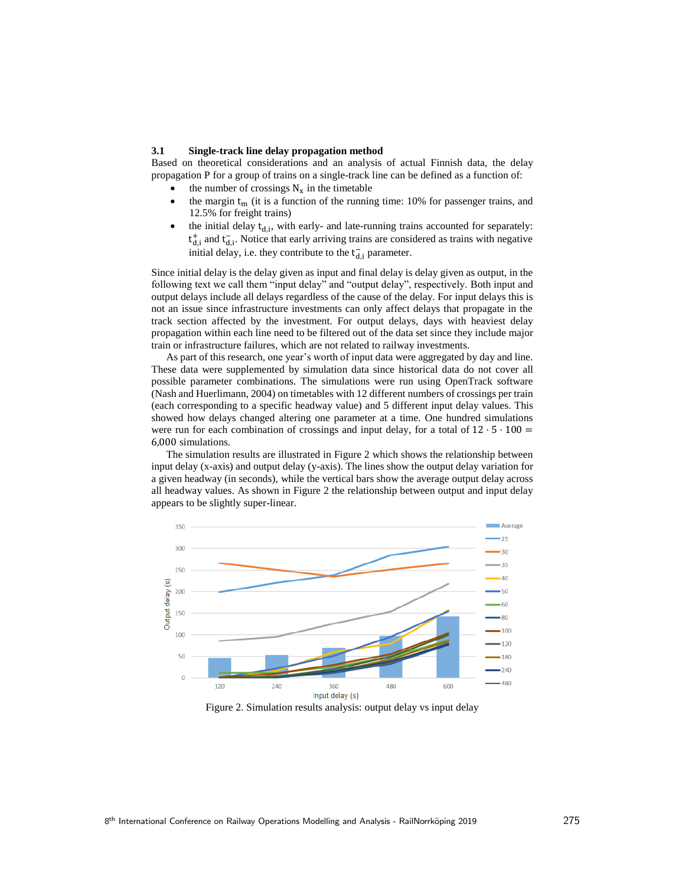## **3.1 Single-track line delay propagation method**

Based on theoretical considerations and an analysis of actual Finnish data, the delay propagation P for a group of trains on a single-track line can be defined as a function of:

- the number of crossings  $N_x$  in the timetable
- the margin  $t_m$  (it is a function of the running time: 10% for passenger trains, and 12.5% for freight trains)
- the initial delay  $t_{d,i}$ , with early- and late-running trains accounted for separately:  $t_{d,i}^+$  and  $t_{d,i}^-$ . Notice that early arriving trains are considered as trains with negative initial delay, i.e. they contribute to the  $t_{d,i}^-$  parameter.

Since initial delay is the delay given as input and final delay is delay given as output, in the following text we call them "input delay" and "output delay", respectively. Both input and output delays include all delays regardless of the cause of the delay. For input delays this is not an issue since infrastructure investments can only affect delays that propagate in the track section affected by the investment. For output delays, days with heaviest delay propagation within each line need to be filtered out of the data set since they include major train or infrastructure failures, which are not related to railway investments.

As part of this research, one year's worth of input data were aggregated by day and line. These data were supplemented by simulation data since historical data do not cover all possible parameter combinations. The simulations were run using OpenTrack software (Nash and Huerlimann, 2004) on timetables with 12 different numbers of crossings per train (each corresponding to a specific headway value) and 5 different input delay values. This showed how delays changed altering one parameter at a time. One hundred simulations were run for each combination of crossings and input delay, for a total of  $12 \cdot 5 \cdot 100 =$ 6,000 simulations.

The simulation results are illustrated in Figure 2 which shows the relationship between input delay (x-axis) and output delay (y-axis). The lines show the output delay variation for a given headway (in seconds), while the vertical bars show the average output delay across all headway values. As shown in Figure 2 the relationship between output and input delay appears to be slightly super-linear.



Figure 2. Simulation results analysis: output delay vs input delay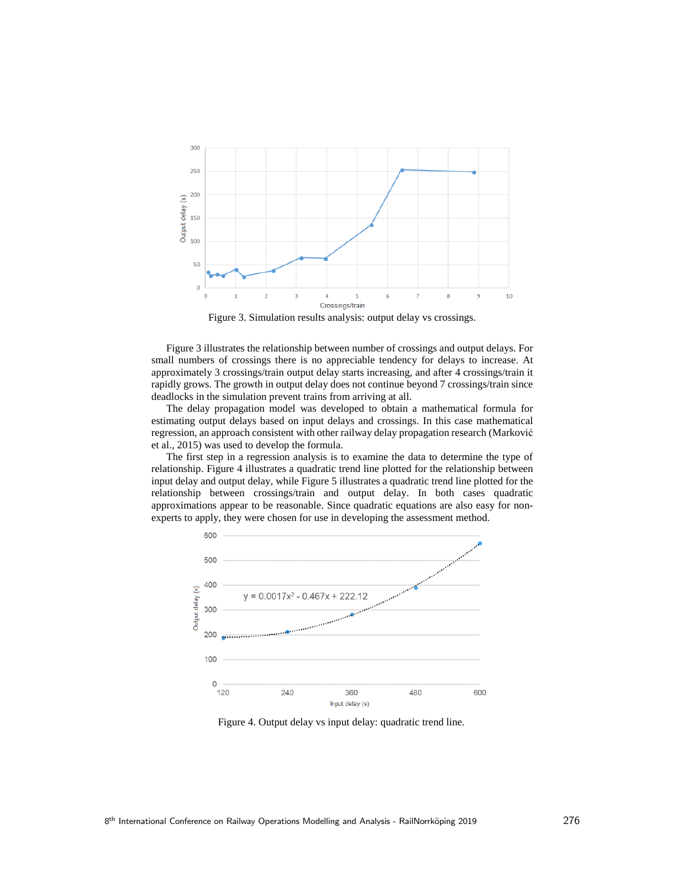

Figure 3. Simulation results analysis: output delay vs crossings.

Figure 3 illustrates the relationship between number of crossings and output delays. For small numbers of crossings there is no appreciable tendency for delays to increase. At approximately 3 crossings/train output delay starts increasing, and after 4 crossings/train it rapidly grows. The growth in output delay does not continue beyond 7 crossings/train since deadlocks in the simulation prevent trains from arriving at all.

The delay propagation model was developed to obtain a mathematical formula for estimating output delays based on input delays and crossings. In this case mathematical regression, an approach consistent with other railway delay propagation research (Marković et al., 2015) was used to develop the formula.

The first step in a regression analysis is to examine the data to determine the type of relationship. Figure 4 illustrates a quadratic trend line plotted for the relationship between input delay and output delay, while Figure 5 illustrates a quadratic trend line plotted for the relationship between crossings/train and output delay. In both cases quadratic approximations appear to be reasonable. Since quadratic equations are also easy for nonexperts to apply, they were chosen for use in developing the assessment method.



Figure 4. Output delay vs input delay: quadratic trend line.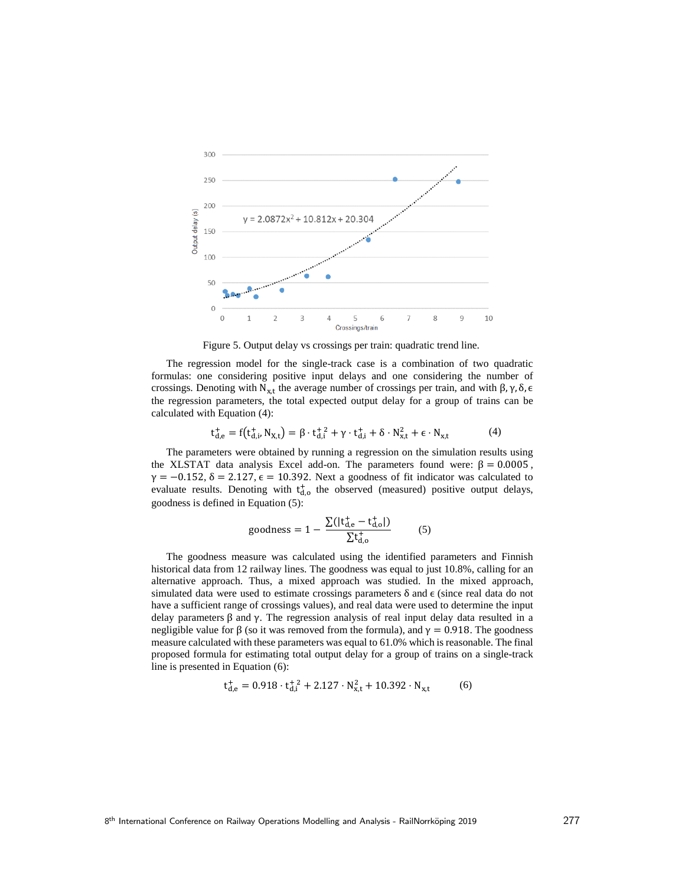

Figure 5. Output delay vs crossings per train: quadratic trend line.

The regression model for the single-track case is a combination of two quadratic formulas: one considering positive input delays and one considering the number of crossings. Denoting with N<sub>x,t</sub> the average number of crossings per train, and with β, γ, δ,  $\epsilon$ the regression parameters, the total expected output delay for a group of trains can be calculated with Equation (4):

$$
t_{d,e}^+ = f(t_{d,i}^+, N_{X,t}) = \beta \cdot t_{d,i}^{+2} + \gamma \cdot t_{d,i}^+ + \delta \cdot N_{x,t}^2 + \epsilon \cdot N_{x,t}
$$
(4)

The parameters were obtained by running a regression on the simulation results using the XLSTAT data analysis Excel add-on. The parameters found were:  $\beta = 0.0005$ ,  $\gamma = -0.152$ ,  $\delta = 2.127$ ,  $\epsilon = 10.392$ . Next a goodness of fit indicator was calculated to evaluate results. Denoting with  $t_{d,o}^+$  the observed (measured) positive output delays, goodness is defined in Equation (5):

goodness = 
$$
1 - \frac{\sum(|t_{d,e}^+ - t_{d,o}^+|)}{\sum t_{d,o}^+}
$$
 (5)

The goodness measure was calculated using the identified parameters and Finnish historical data from 12 railway lines. The goodness was equal to just 10.8%, calling for an alternative approach. Thus, a mixed approach was studied. In the mixed approach, simulated data were used to estimate crossings parameters  $\delta$  and  $\epsilon$  (since real data do not have a sufficient range of crossings values), and real data were used to determine the input delay parameters β and γ. The regression analysis of real input delay data resulted in a negligible value for β (so it was removed from the formula), and  $γ = 0.918$ . The goodness measure calculated with these parameters was equal to 61.0% which is reasonable. The final proposed formula for estimating total output delay for a group of trains on a single-track line is presented in Equation (6):

$$
t_{d,e}^{+} = 0.918 \cdot t_{d,i}^{+2} + 2.127 \cdot N_{x,t}^{2} + 10.392 \cdot N_{x,t} \tag{6}
$$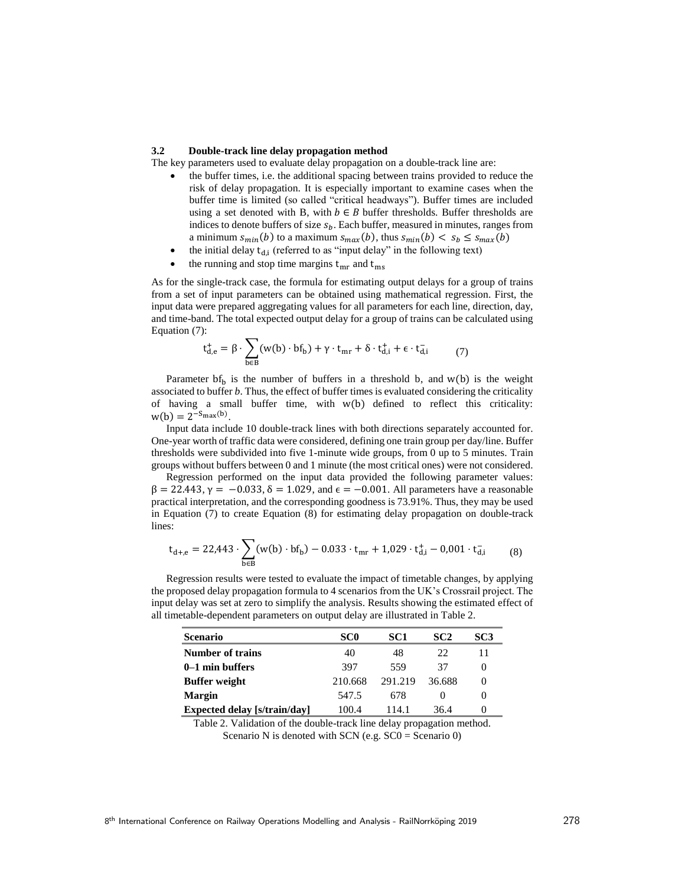#### **3.2 Double-track line delay propagation method**

The key parameters used to evaluate delay propagation on a double-track line are:

- the buffer times, i.e. the additional spacing between trains provided to reduce the risk of delay propagation. It is especially important to examine cases when the buffer time is limited (so called "critical headways"). Buffer times are included using a set denoted with B, with  $b \in B$  buffer thresholds. Buffer thresholds are indices to denote buffers of size  $s_b$ . Each buffer, measured in minutes, ranges from a minimum  $s_{min}(b)$  to a maximum  $s_{max}(b)$ , thus  $s_{min}(b) < s_b \leq s_{max}(b)$
- the initial delay  $t_{d,i}$  (referred to as "input delay" in the following text)
- the running and stop time margins  $t_{mr}$  and  $t_{ms}$

As for the single-track case, the formula for estimating output delays for a group of trains from a set of input parameters can be obtained using mathematical regression. First, the input data were prepared aggregating values for all parameters for each line, direction, day, and time-band. The total expected output delay for a group of trains can be calculated using Equation (7):

$$
t_{d,e}^+ = \beta \cdot \sum_{b \in B} (w(b) \cdot bf_b) + \gamma \cdot t_{mr} + \delta \cdot t_{d,i}^+ + \epsilon \cdot t_{d,i}^- \tag{7}
$$

Parameter  $bf_b$  is the number of buffers in a threshold b, and w(b) is the weight associated to buffer *b*. Thus, the effect of buffer times is evaluated considering the criticality of having a small buffer time, with w(b) defined to reflect this criticality:  $w(b) = 2^{-S_{\text{max}}(b)}$ .

Input data include 10 double-track lines with both directions separately accounted for. One-year worth of traffic data were considered, defining one train group per day/line. Buffer thresholds were subdivided into five 1-minute wide groups, from 0 up to 5 minutes. Train groups without buffers between 0 and 1 minute (the most critical ones) were not considered.

Regression performed on the input data provided the following parameter values:  $\beta = 22.443$ ,  $\gamma = -0.033$ ,  $\delta = 1.029$ , and  $\epsilon = -0.001$ . All parameters have a reasonable practical interpretation, and the corresponding goodness is 73.91%. Thus, they may be used in Equation (7) to create Equation (8) for estimating delay propagation on double-track lines:

$$
t_{d+,e} = 22{,}443 \cdot \sum_{b \in B} (w(b) \cdot bf_b) - 0.033 \cdot t_{mr} + 1{,}029 \cdot t_{d,i}^+ - 0{,}001 \cdot t_{d,i}^- \tag{8}
$$

Regression results were tested to evaluate the impact of timetable changes, by applying the proposed delay propagation formula to 4 scenarios from the UK's Crossrail project. The input delay was set at zero to simplify the analysis. Results showing the estimated effect of all timetable-dependent parameters on output delay are illustrated in Table 2.

| <b>Scenario</b>                     | SC <sub>0</sub> | SC1     | SC <sub>2</sub> | SC <sub>3</sub> |
|-------------------------------------|-----------------|---------|-----------------|-----------------|
| Number of trains                    | 40              | 48      | 22              | 11              |
| 0–1 min buffers                     | 397             | 559     | 37              |                 |
| <b>Buffer</b> weight                | 210.668         | 291.219 | 36.688          |                 |
| <b>Margin</b>                       | 547.5           | 678     |                 |                 |
| <b>Expected delay [s/train/day]</b> | 100.4           | 114.1   | 36.4            |                 |

Table 2. Validation of the double-track line delay propagation method. Scenario N is denoted with SCN (e.g.  $SC0 =$  Scenario 0)